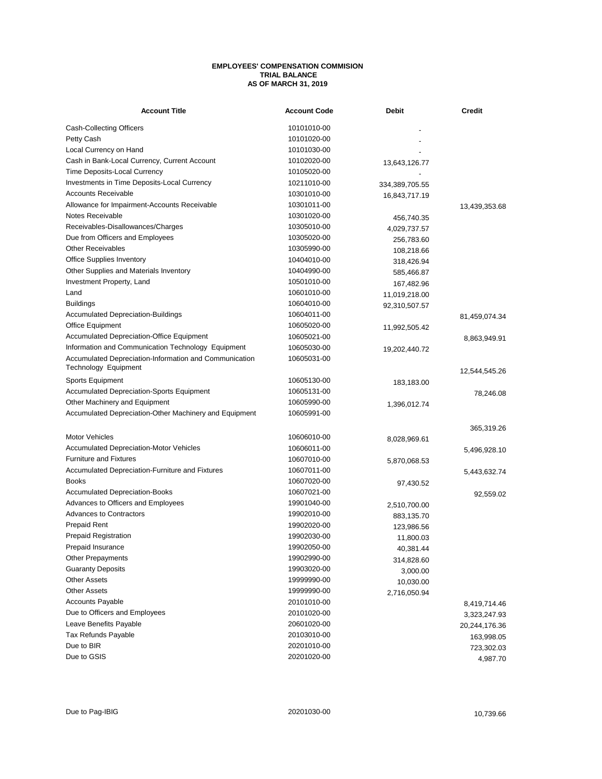## **EMPLOYEES' COMPENSATION COMMISION TRIAL BALANCE AS OF MARCH 31, 2019**

| <b>Account Title</b>                                   | <b>Account Code</b> | Debit          | <b>Credit</b> |
|--------------------------------------------------------|---------------------|----------------|---------------|
| Cash-Collecting Officers                               | 10101010-00         |                |               |
| Petty Cash                                             | 10101020-00         |                |               |
| Local Currency on Hand                                 | 10101030-00         |                |               |
| Cash in Bank-Local Currency, Current Account           | 10102020-00         | 13,643,126.77  |               |
| Time Deposits-Local Currency                           | 10105020-00         |                |               |
| Investments in Time Deposits-Local Currency            | 10211010-00         | 334,389,705.55 |               |
| <b>Accounts Receivable</b>                             | 10301010-00         | 16,843,717.19  |               |
| Allowance for Impairment-Accounts Receivable           | 10301011-00         |                | 13,439,353.68 |
| Notes Receivable                                       | 10301020-00         | 456,740.35     |               |
| Receivables-Disallowances/Charges                      | 10305010-00         | 4,029,737.57   |               |
| Due from Officers and Employees                        | 10305020-00         | 256,783.60     |               |
| Other Receivables                                      | 10305990-00         | 108,218.66     |               |
| <b>Office Supplies Inventory</b>                       | 10404010-00         | 318,426.94     |               |
| Other Supplies and Materials Inventory                 | 10404990-00         | 585,466.87     |               |
| Investment Property, Land                              | 10501010-00         | 167,482.96     |               |
| Land                                                   | 10601010-00         | 11,019,218.00  |               |
| <b>Buildings</b>                                       | 10604010-00         | 92,310,507.57  |               |
| <b>Accumulated Depreciation-Buildings</b>              | 10604011-00         |                | 81,459,074.34 |
| Office Equipment                                       | 10605020-00         | 11,992,505.42  |               |
| <b>Accumulated Depreciation-Office Equipment</b>       | 10605021-00         |                | 8,863,949.91  |
| Information and Communication Technology Equipment     | 10605030-00         | 19,202,440.72  |               |
| Accumulated Depreciation-Information and Communication | 10605031-00         |                |               |
| Technology Equipment                                   |                     |                | 12,544,545.26 |
| Sports Equipment                                       | 10605130-00         | 183,183.00     |               |
| <b>Accumulated Depreciation-Sports Equipment</b>       | 10605131-00         |                | 78,246.08     |
| Other Machinery and Equipment                          | 10605990-00         | 1,396,012.74   |               |
| Accumulated Depreciation-Other Machinery and Equipment | 10605991-00         |                |               |
|                                                        |                     |                | 365,319.26    |
| <b>Motor Vehicles</b>                                  | 10606010-00         | 8,028,969.61   |               |
| <b>Accumulated Depreciation-Motor Vehicles</b>         | 10606011-00         |                | 5,496,928.10  |
| <b>Furniture and Fixtures</b>                          | 10607010-00         | 5,870,068.53   |               |
| Accumulated Depreciation-Furniture and Fixtures        | 10607011-00         |                | 5,443,632.74  |
| <b>Books</b>                                           | 10607020-00         | 97,430.52      |               |
| <b>Accumulated Depreciation-Books</b>                  | 10607021-00         |                | 92,559.02     |
| Advances to Officers and Employees                     | 19901040-00         | 2,510,700.00   |               |
| <b>Advances to Contractors</b>                         | 19902010-00         | 883,135.70     |               |
| <b>Prepaid Rent</b>                                    | 19902020-00         | 123,986.56     |               |
| <b>Prepaid Registration</b>                            | 19902030-00         | 11,800.03      |               |
| Prepaid Insurance                                      | 19902050-00         | 40,381.44      |               |
| <b>Other Prepayments</b>                               | 19902990-00         | 314,828.60     |               |
| <b>Guaranty Deposits</b>                               | 19903020-00         | 3,000.00       |               |
| <b>Other Assets</b>                                    | 19999990-00         | 10,030.00      |               |
| <b>Other Assets</b>                                    | 19999990-00         | 2,716,050.94   |               |
| <b>Accounts Payable</b>                                | 20101010-00         |                | 8,419,714.46  |
| Due to Officers and Employees                          | 20101020-00         |                |               |
| Leave Benefits Payable                                 | 20601020-00         |                | 3,323,247.93  |
| Tax Refunds Payable                                    | 20103010-00         |                | 20,244,176.36 |
| Due to BIR                                             | 20201010-00         |                | 163,998.05    |
| Due to GSIS                                            | 20201020-00         |                | 723,302.03    |
|                                                        |                     |                | 4,987.70      |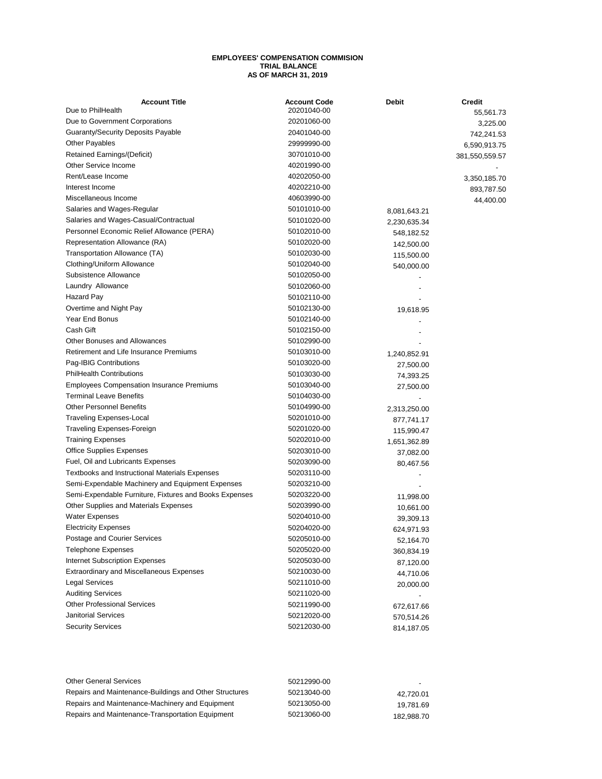## **EMPLOYEES' COMPENSATION COMMISION TRIAL BALANCE AS OF MARCH 31, 2019**

| <b>Account Title</b>                                   | <b>Account Code</b> | <b>Debit</b> | <b>Credit</b>  |
|--------------------------------------------------------|---------------------|--------------|----------------|
| Due to PhilHealth                                      | 20201040-00         |              | 55,561.73      |
| Due to Government Corporations                         | 20201060-00         |              | 3,225.00       |
| <b>Guaranty/Security Deposits Payable</b>              | 20401040-00         |              | 742,241.53     |
| <b>Other Payables</b>                                  | 29999990-00         |              | 6,590,913.75   |
| Retained Earnings/(Deficit)                            | 30701010-00         |              | 381,550,559.57 |
| Other Service Income                                   | 40201990-00         |              |                |
| Rent/Lease Income                                      | 40202050-00         |              | 3,350,185.70   |
| Interest Income                                        | 40202210-00         |              | 893,787.50     |
| Miscellaneous Income                                   | 40603990-00         |              | 44,400.00      |
| Salaries and Wages-Regular                             | 50101010-00         | 8,081,643.21 |                |
| Salaries and Wages-Casual/Contractual                  | 50101020-00         | 2,230,635.34 |                |
| Personnel Economic Relief Allowance (PERA)             | 50102010-00         | 548,182.52   |                |
| Representation Allowance (RA)                          | 50102020-00         | 142,500.00   |                |
| Transportation Allowance (TA)                          | 50102030-00         | 115,500.00   |                |
| Clothing/Uniform Allowance                             | 50102040-00         | 540,000.00   |                |
| Subsistence Allowance                                  | 50102050-00         |              |                |
| Laundry Allowance                                      | 50102060-00         |              |                |
| Hazard Pay                                             | 50102110-00         |              |                |
| Overtime and Night Pay                                 | 50102130-00         | 19,618.95    |                |
| Year End Bonus                                         | 50102140-00         |              |                |
| Cash Gift                                              | 50102150-00         |              |                |
| <b>Other Bonuses and Allowances</b>                    | 50102990-00         |              |                |
| Retirement and Life Insurance Premiums                 | 50103010-00         | 1,240,852.91 |                |
| Pag-IBIG Contributions                                 | 50103020-00         | 27,500.00    |                |
| <b>PhilHealth Contributions</b>                        | 50103030-00         | 74,393.25    |                |
| <b>Employees Compensation Insurance Premiums</b>       | 50103040-00         | 27,500.00    |                |
| <b>Terminal Leave Benefits</b>                         | 50104030-00         |              |                |
| <b>Other Personnel Benefits</b>                        | 50104990-00         | 2,313,250.00 |                |
| <b>Traveling Expenses-Local</b>                        | 50201010-00         | 877,741.17   |                |
| Traveling Expenses-Foreign                             | 50201020-00         | 115,990.47   |                |
| <b>Training Expenses</b>                               | 50202010-00         | 1,651,362.89 |                |
| <b>Office Supplies Expenses</b>                        | 50203010-00         | 37,082.00    |                |
| Fuel, Oil and Lubricants Expenses                      | 50203090-00         | 80,467.56    |                |
| <b>Textbooks and Instructional Materials Expenses</b>  | 50203110-00         |              |                |
| Semi-Expendable Machinery and Equipment Expenses       | 50203210-00         |              |                |
| Semi-Expendable Furniture, Fixtures and Books Expenses | 50203220-00         | 11,998.00    |                |
| Other Supplies and Materials Expenses                  | 50203990-00         | 10,661.00    |                |
| <b>Water Expenses</b>                                  | 50204010-00         | 39,309.13    |                |
| <b>Electricity Expenses</b>                            | 50204020-00         | 624,971.93   |                |
| Postage and Courier Services                           | 50205010-00         | 52,164.70    |                |
| <b>Telephone Expenses</b>                              | 50205020-00         | 360,834.19   |                |
| <b>Internet Subscription Expenses</b>                  | 50205030-00         | 87,120.00    |                |
| <b>Extraordinary and Miscellaneous Expenses</b>        | 50210030-00         | 44,710.06    |                |
| <b>Legal Services</b>                                  | 50211010-00         | 20,000.00    |                |
| <b>Auditing Services</b>                               | 50211020-00         |              |                |
| <b>Other Professional Services</b>                     | 50211990-00         | 672,617.66   |                |
| Janitorial Services                                    | 50212020-00         | 570,514.26   |                |
| <b>Security Services</b>                               | 50212030-00         |              |                |
|                                                        |                     | 814,187.05   |                |

| <b>Other General Services</b>                          | 50212990-00 | $ -$       |
|--------------------------------------------------------|-------------|------------|
| Repairs and Maintenance-Buildings and Other Structures | 50213040-00 | 42.720.01  |
| Repairs and Maintenance-Machinery and Equipment        | 50213050-00 | 19.781.69  |
| Repairs and Maintenance-Transportation Equipment       | 50213060-00 | 182.988.70 |